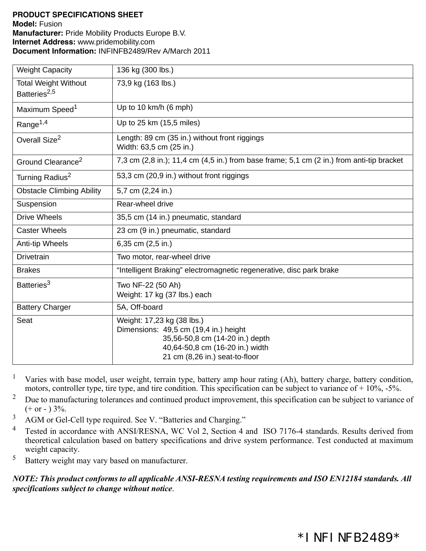## **PRODUCT SPECIFICATIONS SHEET Model:** Fusion **Manufacturer:** Pride Mobility Products Europe B.V. **Internet Address:** www.pridemobility.com **Document Information:** INFINFB2489/Rev A/March 2011

| <b>Weight Capacity</b>                                  | 136 kg (300 lbs.)                                                                                                                                                           |
|---------------------------------------------------------|-----------------------------------------------------------------------------------------------------------------------------------------------------------------------------|
| <b>Total Weight Without</b><br>Batteries <sup>2,5</sup> | 73,9 kg (163 lbs.)                                                                                                                                                          |
| Maximum Speed <sup>1</sup>                              | Up to 10 km/h (6 mph)                                                                                                                                                       |
| Range <sup>1,4</sup>                                    | Up to 25 km (15,5 miles)                                                                                                                                                    |
| Overall Size <sup>2</sup>                               | Length: 89 cm (35 in.) without front riggings<br>Width: 63,5 cm (25 in.)                                                                                                    |
| Ground Clearance <sup>2</sup>                           | 7,3 cm $(2,8 \text{ in.})$ ; 11,4 cm $(4,5 \text{ in.})$ from base frame; 5,1 cm $(2 \text{ in.})$ from anti-tip bracket                                                    |
| Turning Radius <sup>2</sup>                             | 53,3 cm (20,9 in.) without front riggings                                                                                                                                   |
| <b>Obstacle Climbing Ability</b>                        | 5,7 cm (2,24 in.)                                                                                                                                                           |
| Suspension                                              | Rear-wheel drive                                                                                                                                                            |
| <b>Drive Wheels</b>                                     | 35,5 cm (14 in.) pneumatic, standard                                                                                                                                        |
| <b>Caster Wheels</b>                                    | 23 cm (9 in.) pneumatic, standard                                                                                                                                           |
| Anti-tip Wheels                                         | 6,35 cm (2,5 in.)                                                                                                                                                           |
| <b>Drivetrain</b>                                       | Two motor, rear-wheel drive                                                                                                                                                 |
| <b>Brakes</b>                                           | "Intelligent Braking" electromagnetic regenerative, disc park brake                                                                                                         |
| Batteries <sup>3</sup>                                  | Two NF-22 (50 Ah)<br>Weight: 17 kg (37 lbs.) each                                                                                                                           |
| <b>Battery Charger</b>                                  | 5A, Off-board                                                                                                                                                               |
| Seat                                                    | Weight: 17,23 kg (38 lbs.)<br>Dimensions: 49,5 cm (19,4 in.) height<br>35,56-50,8 cm (14-20 in.) depth<br>40,64-50,8 cm (16-20 in.) width<br>21 cm (8,26 in.) seat-to-floor |

<sup>1</sup> Varies with base model, user weight, terrain type, battery amp hour rating  $(Ah)$ , battery charge, battery condition, motors, controller type, tire type, and tire condition. This specification can be subject to variance of + 10%, -5%.

- <sup>2</sup> Due to manufacturing tolerances and continued product improvement, this specification can be subject to variance of  $(+ or - ) 3\%$ .
- <sup>3</sup> AGM or Gel-Cell type required. See V. "Batteries and Charging."
- <sup>4</sup> Tested in accordance with ANSI/RESNA, WC Vol 2, Section 4 and ISO 7176-4 standards. Results derived from theoretical calculation based on battery specifications and drive system performance. Test conducted at maximum weight capacity.
- <sup>5</sup> Battery weight may vary based on manufacturer.

*NOTE: This product conforms to all applicable ANSI-RESNA testing requirements and ISO EN12184 standards. All specifications subject to change without notice*.